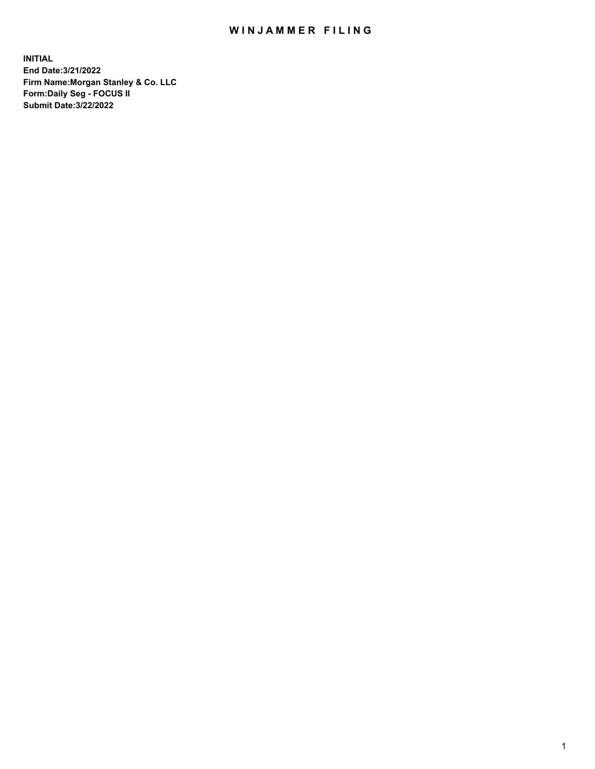## WIN JAMMER FILING

**INITIAL End Date:3/21/2022 Firm Name:Morgan Stanley & Co. LLC Form:Daily Seg - FOCUS II Submit Date:3/22/2022**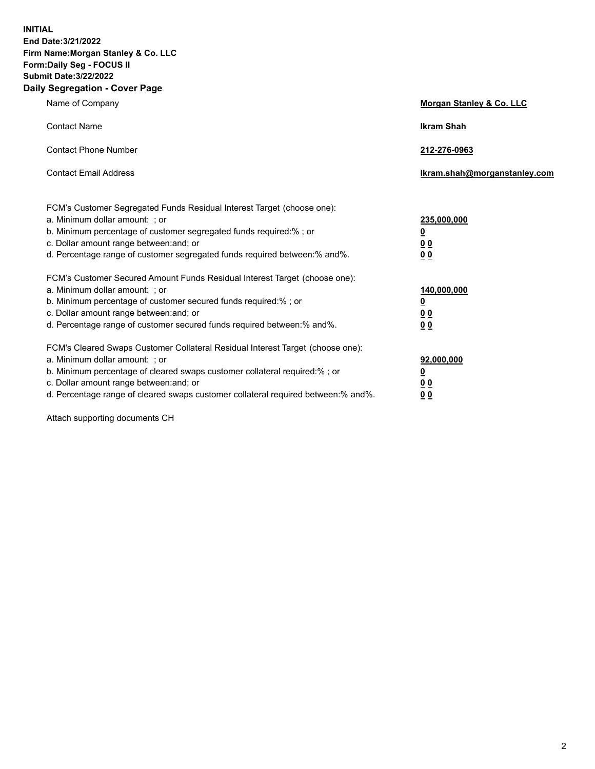**INITIAL End Date:3/21/2022 Firm Name:Morgan Stanley & Co. LLC Form:Daily Seg - FOCUS II Submit Date:3/22/2022 Daily Segregation - Cover Page**

| Name of Company                                                                                                                                                                                                                                                                                                                | Morgan Stanley & Co. LLC                               |
|--------------------------------------------------------------------------------------------------------------------------------------------------------------------------------------------------------------------------------------------------------------------------------------------------------------------------------|--------------------------------------------------------|
| <b>Contact Name</b>                                                                                                                                                                                                                                                                                                            | <b>Ikram Shah</b>                                      |
| <b>Contact Phone Number</b>                                                                                                                                                                                                                                                                                                    | 212-276-0963                                           |
| <b>Contact Email Address</b>                                                                                                                                                                                                                                                                                                   | Ikram.shah@morganstanley.com                           |
| FCM's Customer Segregated Funds Residual Interest Target (choose one):<br>a. Minimum dollar amount: ; or<br>b. Minimum percentage of customer segregated funds required:% ; or<br>c. Dollar amount range between: and; or<br>d. Percentage range of customer segregated funds required between:% and%.                         | 235,000,000<br><u>0</u><br>0 <sup>0</sup><br><u>00</u> |
| FCM's Customer Secured Amount Funds Residual Interest Target (choose one):<br>a. Minimum dollar amount: ; or<br>b. Minimum percentage of customer secured funds required:% ; or<br>c. Dollar amount range between: and; or<br>d. Percentage range of customer secured funds required between:% and%.                           | 140,000,000<br><u>0</u><br><u>00</u><br>00             |
| FCM's Cleared Swaps Customer Collateral Residual Interest Target (choose one):<br>a. Minimum dollar amount: ; or<br>b. Minimum percentage of cleared swaps customer collateral required:% ; or<br>c. Dollar amount range between: and; or<br>d. Percentage range of cleared swaps customer collateral required between:% and%. | 92,000,000<br><u>0</u><br><u>00</u><br>00              |

Attach supporting documents CH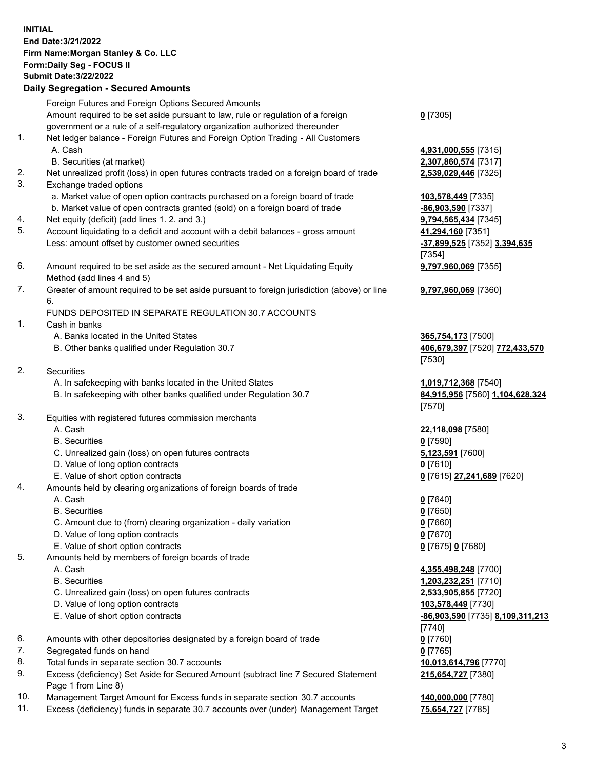## **INITIAL End Date:3/21/2022 Firm Name:Morgan Stanley & Co. LLC Form:Daily Seg - FOCUS II Submit Date:3/22/2022 Daily Segregation - Secured Amounts** Foreign Futures and Foreign Options Secured Amounts

Amount required to be set aside pursuant to law, rule or regulation of a foreign government or a rule of a self-regulatory organization authorized thereunder

- 1. Net ledger balance Foreign Futures and Foreign Option Trading All Customers A. Cash **4,931,000,555** [7315]
	- B. Securities (at market) **2,307,860,574** [7317]
- 2. Net unrealized profit (loss) in open futures contracts traded on a foreign board of trade **2,539,029,446** [7325]
- 3. Exchange traded options
	- a. Market value of open option contracts purchased on a foreign board of trade **103,578,449** [7335]
	- b. Market value of open contracts granted (sold) on a foreign board of trade **-86,903,590** [7337]
- 4. Net equity (deficit) (add lines 1. 2. and 3.) **9,794,565,434** [7345]
- 5. Account liquidating to a deficit and account with a debit balances gross amount **41,294,160** [7351] Less: amount offset by customer owned securities **-37,899,525** [7352] **3,394,635**
- 6. Amount required to be set aside as the secured amount Net Liquidating Equity Method (add lines 4 and 5)
- 7. Greater of amount required to be set aside pursuant to foreign jurisdiction (above) or line 6.

## FUNDS DEPOSITED IN SEPARATE REGULATION 30.7 ACCOUNTS

- 1. Cash in banks
	- A. Banks located in the United States **365,754,173** [7500]
	- B. Other banks qualified under Regulation 30.7 **406,679,397** [7520] **772,433,570**
- 2. Securities
	- A. In safekeeping with banks located in the United States **1,019,712,368** [7540]
	- B. In safekeeping with other banks qualified under Regulation 30.7 **84,915,956** [7560] **1,104,628,324**
- 3. Equities with registered futures commission merchants
	-
	- B. Securities **0** [7590]
	- C. Unrealized gain (loss) on open futures contracts **5,123,591** [7600]
	- D. Value of long option contracts **0** [7610]
	- E. Value of short option contracts **0** [7615] **27,241,689** [7620]
- 4. Amounts held by clearing organizations of foreign boards of trade
	- A. Cash **0** [7640]
	- B. Securities **0** [7650]
	- C. Amount due to (from) clearing organization daily variation **0** [7660]
	- D. Value of long option contracts **0** [7670]
	- E. Value of short option contracts **0** [7675] **0** [7680]
- 5. Amounts held by members of foreign boards of trade
	-
	-
	- C. Unrealized gain (loss) on open futures contracts **2,533,905,855** [7720]
	- D. Value of long option contracts **103,578,449** [7730]
	- E. Value of short option contracts **-86,903,590** [7735] **8,109,311,213**
- 6. Amounts with other depositories designated by a foreign board of trade **0** [7760]
- 7. Segregated funds on hand **0** [7765]
- 8. Total funds in separate section 30.7 accounts **10,013,614,796** [7770]
- 9. Excess (deficiency) Set Aside for Secured Amount (subtract line 7 Secured Statement Page 1 from Line 8)
- 10. Management Target Amount for Excess funds in separate section 30.7 accounts **140,000,000** [7780]
- 11. Excess (deficiency) funds in separate 30.7 accounts over (under) Management Target **75,654,727** [7785]

**0** [7305]

[7354] **9,797,960,069** [7355]

**9,797,960,069** [7360]

[7530]

[7570]

A. Cash **22,118,098** [7580]

 A. Cash **4,355,498,248** [7700] B. Securities **1,203,232,251** [7710] [7740] **215,654,727** [7380]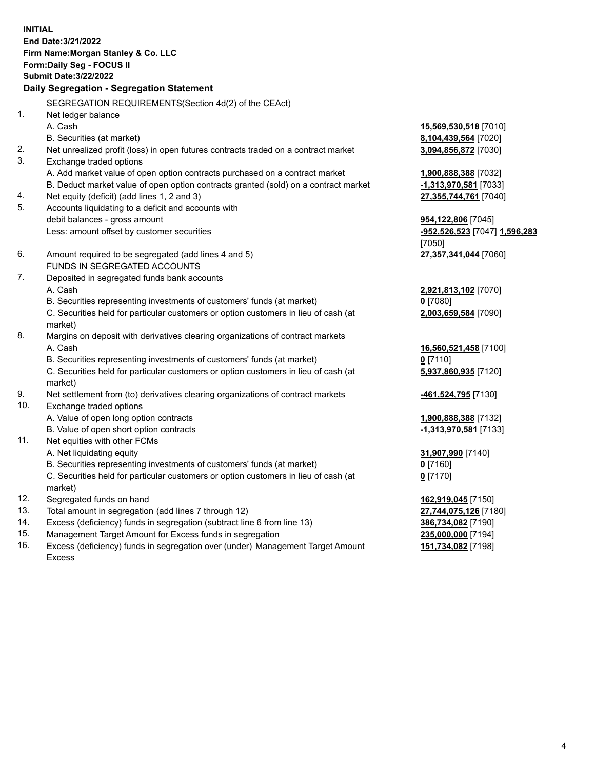**INITIAL End Date:3/21/2022 Firm Name:Morgan Stanley & Co. LLC Form:Daily Seg - FOCUS II Submit Date:3/22/2022 Daily Segregation - Segregation Statement** SEGREGATION REQUIREMENTS(Section 4d(2) of the CEAct) 1. Net ledger balance A. Cash **15,569,530,518** [7010] B. Securities (at market) **8,104,439,564** [7020] 2. Net unrealized profit (loss) in open futures contracts traded on a contract market **3,094,856,872** [7030] 3. Exchange traded options A. Add market value of open option contracts purchased on a contract market **1,900,888,388** [7032] B. Deduct market value of open option contracts granted (sold) on a contract market **-1,313,970,581** [7033] 4. Net equity (deficit) (add lines 1, 2 and 3) **27,355,744,761** [7040] 5. Accounts liquidating to a deficit and accounts with debit balances - gross amount **954,122,806** [7045] Less: amount offset by customer securities **-952,526,523** [7047] **1,596,283** [7050] 6. Amount required to be segregated (add lines 4 and 5) **27,357,341,044** [7060] FUNDS IN SEGREGATED ACCOUNTS 7. Deposited in segregated funds bank accounts A. Cash **2,921,813,102** [7070] B. Securities representing investments of customers' funds (at market) **0** [7080] C. Securities held for particular customers or option customers in lieu of cash (at market) **2,003,659,584** [7090] 8. Margins on deposit with derivatives clearing organizations of contract markets A. Cash **16,560,521,458** [7100] B. Securities representing investments of customers' funds (at market) **0** [7110] C. Securities held for particular customers or option customers in lieu of cash (at market) **5,937,860,935** [7120] 9. Net settlement from (to) derivatives clearing organizations of contract markets **-461,524,795** [7130] 10. Exchange traded options A. Value of open long option contracts **1,900,888,388** [7132] B. Value of open short option contracts **-1,313,970,581** [7133] 11. Net equities with other FCMs A. Net liquidating equity **31,907,990** [7140] B. Securities representing investments of customers' funds (at market) **0** [7160] C. Securities held for particular customers or option customers in lieu of cash (at market) **0** [7170] 12. Segregated funds on hand **162,919,045** [7150] 13. Total amount in segregation (add lines 7 through 12) **27,744,075,126** [7180] 14. Excess (deficiency) funds in segregation (subtract line 6 from line 13) **386,734,082** [7190] 15. Management Target Amount for Excess funds in segregation **235,000,000** [7194]

16. Excess (deficiency) funds in segregation over (under) Management Target Amount Excess

**151,734,082** [7198]